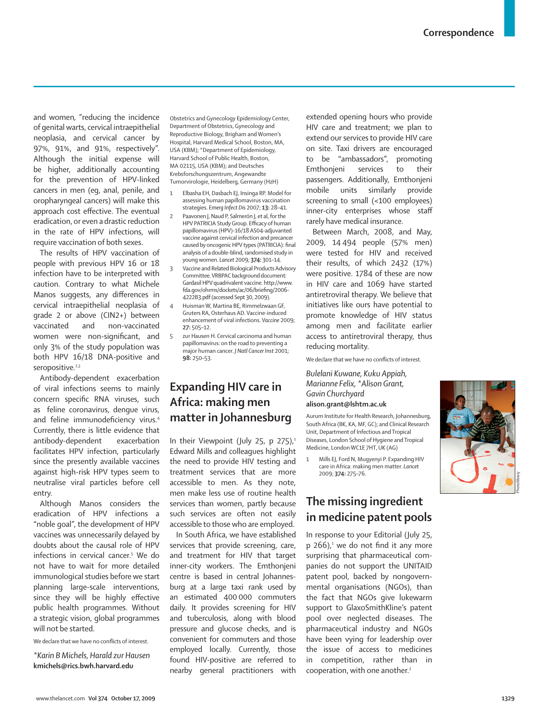and women*,* "reducing the incidence of genital warts, cervical intraepithelial neoplasia, and cervical cancer by 97%, 91%, and 91%, respectively". Although the initial expense will be higher, additionally accounting for the prevention of HPV-linked cancers in men (eg, anal, penile, and oropharyngeal cancers) will make this approach cost effective. The eventual eradication, or even a drastic reduction in the rate of HPV infections, will require vaccination of both sexes.

The results of HPV vaccination of people with previous HPV 16 or 18 infection have to be interpreted with caution. Contrary to what Michele Manos suggests, any differences in cervical intraepithelial neoplasia of grade 2 or above (CIN2+) between vaccinated and non-vaccinated women were non-significant, and only 3% of the study population was both HPV 16/18 DNA-positive and seropositive.<sup>2,3</sup>

Antibody-dependent exacerbation of viral infections seems to mainly concern specific RNA viruses, such as feline coronavirus, dengue virus, and feline immunodeficiency virus.<sup>4</sup> Currently, there is little evidence that antibody-dependent exacerbation facilitates HPV infection, particularly since the presently available vaccines against high-risk HPV types seem to neutralise viral particles before cell entry.

Although Manos considers the eradication of HPV infections a "noble goal", the development of HPV vaccines was unnecessarily delayed by doubts about the causal role of HPV infections in cervical cancer.5 We do not have to wait for more detailed immunological studies before we start planning large-scale interventions, since they will be highly effective public health programmes. Without a strategic vision, global programmes will not be started.

We declare that we have no conflicts of interest.

*\*Karin B Michels, Harald zur Hausen* **kmichels@rics.bwh.harvard.edu**

Obstetrics and Gynecology Epidemiology Center, Department of Obstetrics, Gynecology and Reproductive Biology, Brigham and Women's Hospital, Harvard Medical School, Boston, MA, USA (KBM); \*Department of Epidemiology, Harvard School of Public Health, Boston, MA 02115, USA (KBM); and Deutsches Krebsforschungszentrum, Angewandte Tumorvirologie, Heidelberg, Germany (HzH)

- 1 Elbasha EH, Dasbach EJ, Insinga RP. Model for assessing human papillomavirus vaccination strategies. *Emerg Infect Dis* 2007; **13:** 28–41.
- Paavonen J, Naud P, Salmerón J, et al, for the HPV PATRICIA Study Group. Efficacy of human papillomavirus (HPV)-16/18 AS04-adjuvanted vaccine against cervical infection and precancer caused by oncogenic HPV types (PATRICIA): final analysis of a double-blind, randomised study in young women. *Lancet* 2009; **374:** 301–14.
- 3 Vaccine and Related Biological Products Advisory Committee. VRBPAC background document: Gardasil HPV quadrivalent vaccine. http://www. fda.gov/ohrms/dockets/ac/06/briefing/2006-4222B3.pdf (accessed Sept 30, 2009).
- 4 Huisman W, Martina BE, Rimmelzwaan GF, Gruters RA, Osterhaus AD. Vaccine-induced enhancement of viral infections. *Vaccine* 2009; **27:** 505–12.
- 5 zur Hausen H. Cervical carcinoma and human papillomavirus: on the road to preventing a major human cancer. *J Natl Cancer Inst* 2001; **98:** 250–53.

# **Expanding HIV care in Africa: making men matter in Johannesburg**

In their Viewpoint (July 25, p  $275$ ),<sup>1</sup> Edward Mills and colleagues highlight the need to provide HIV testing and treatment services that are more accessible to men. As they note, men make less use of routine health services than women, partly because such services are often not easily accessible to those who are employed.

In South Africa, we have established services that provide screening, care, and treatment for HIV that target inner-city workers. The Emthonjeni centre is based in central Johannesburg at a large taxi rank used by an estimated 400 000 commuters daily. It provides screening for HIV and tuberculosis, along with blood pressure and glucose checks, and is convenient for commuters and those employed locally. Currently, those found HIV-positive are referred to nearby general practitioners with extended opening hours who provide HIV care and treatment; we plan to extend our services to provide HIV care on site. Taxi drivers are encouraged to be "ambassadors", promoting Emthonjeni services to their passengers. Additionally, Emthonjeni mobile units similarly provide screening to small (<100 employees) inner-city enterprises whose staff rarely have medical insurance.

Between March, 2008, and May, 2009, 14 494 people (57% men) were tested for HIV and received their results, of which 2432 (17%) were positive. 1784 of these are now in HIV care and 1069 have started antiretroviral therapy. We believe that initiatives like ours have potential to promote knowledge of HIV status among men and facilitate earlier access to antiretroviral therapy, thus reducing mortality.

We declare that we have no conflicts of interest.

*Bulelani Kuwane, Kuku Appiah, Marianne Felix, \*Alison Grant, Gavin Churchyard* **alison.grant@lshtm.ac.uk**

Aurum Institute for Health Research, Johannesburg, South Africa (BK, KA, MF, GC); and Clinical Research Unit, Department of Infectious and Tropical Diseases, London School of Hygiene and Tropical Medicine, London WC1E 7HT, UK (AG)

1 Mills EJ, Ford N, Mugyenyi P. Expanding HIV care in Africa: making men matter. *Lancet* 2009; **374:** 275–76.

## **The missing ingredient in medicine patent pools**

In response to your Editorial (July 25,  $p 266$ ),<sup>1</sup> we do not find it any more surprising that pharmaceutical companies do not support the UNITAID patent pool, backed by nongovernmental organisations (NGOs), than the fact that NGOs give lukewarm support to GlaxoSmithKline's patent pool over neglected diseases. The pharmaceutical industry and NGOs have been vying for leadership over the issue of access to medicines in competition, rather than in cooperation, with one another.<sup>2</sup>